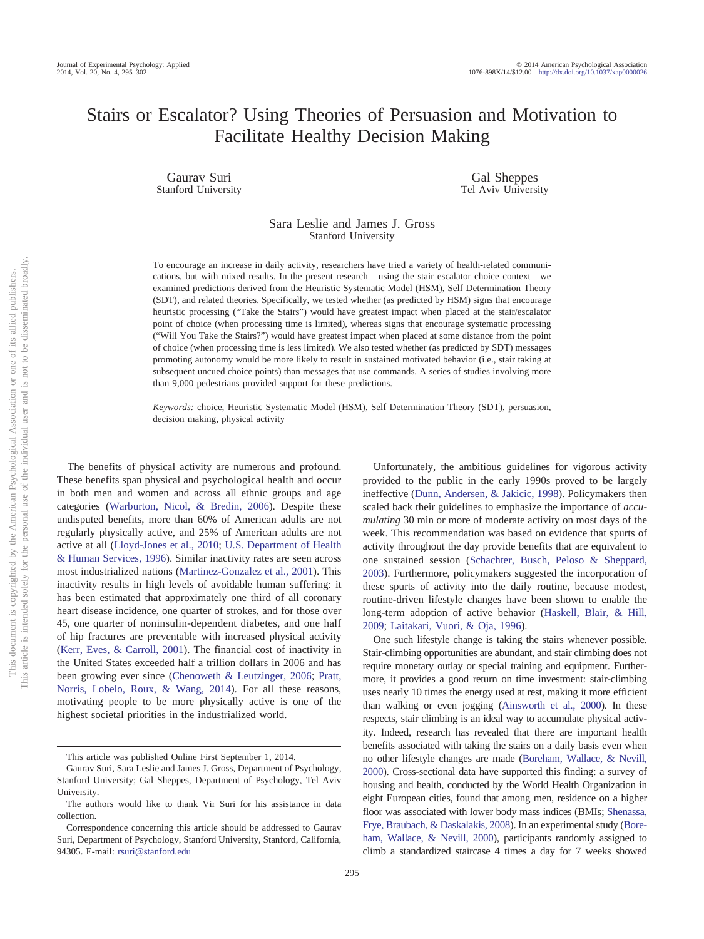# Stairs or Escalator? Using Theories of Persuasion and Motivation to Facilitate Healthy Decision Making

Gaurav Suri Stanford University

Gal Sheppes Tel Aviv University

## Sara Leslie and James J. Gross Stanford University

To encourage an increase in daily activity, researchers have tried a variety of health-related communications, but with mixed results. In the present research— using the stair escalator choice context—we examined predictions derived from the Heuristic Systematic Model (HSM), Self Determination Theory (SDT), and related theories. Specifically, we tested whether (as predicted by HSM) signs that encourage heuristic processing ("Take the Stairs") would have greatest impact when placed at the stair/escalator point of choice (when processing time is limited), whereas signs that encourage systematic processing ("Will You Take the Stairs?") would have greatest impact when placed at some distance from the point of choice (when processing time is less limited). We also tested whether (as predicted by SDT) messages promoting autonomy would be more likely to result in sustained motivated behavior (i.e., stair taking at subsequent uncued choice points) than messages that use commands. A series of studies involving more than 9,000 pedestrians provided support for these predictions.

*Keywords:* choice, Heuristic Systematic Model (HSM), Self Determination Theory (SDT), persuasion, decision making, physical activity

The benefits of physical activity are numerous and profound. These benefits span physical and psychological health and occur in both men and women and across all ethnic groups and age categories [\(Warburton, Nicol, & Bredin, 2006\)](#page-7-0). Despite these undisputed benefits, more than 60% of American adults are not regularly physically active, and 25% of American adults are not active at all [\(Lloyd-Jones et al., 2010;](#page-6-0) [U.S. Department of Health](#page-7-1) [& Human Services, 1996\)](#page-7-1). Similar inactivity rates are seen across most industrialized nations [\(Martinez-Gonzalez et al., 2001\)](#page-6-1). This inactivity results in high levels of avoidable human suffering: it has been estimated that approximately one third of all coronary heart disease incidence, one quarter of strokes, and for those over 45, one quarter of noninsulin-dependent diabetes, and one half of hip fractures are preventable with increased physical activity [\(Kerr, Eves, & Carroll, 2001\)](#page-6-2). The financial cost of inactivity in the United States exceeded half a trillion dollars in 2006 and has been growing ever since [\(Chenoweth & Leutzinger, 2006;](#page-6-3) [Pratt,](#page-7-2) [Norris, Lobelo, Roux, & Wang, 2014\)](#page-7-2). For all these reasons, motivating people to be more physically active is one of the highest societal priorities in the industrialized world.

Unfortunately, the ambitious guidelines for vigorous activity provided to the public in the early 1990s proved to be largely ineffective [\(Dunn, Andersen, & Jakicic, 1998\)](#page-6-4). Policymakers then scaled back their guidelines to emphasize the importance of *accumulating* 30 min or more of moderate activity on most days of the week. This recommendation was based on evidence that spurts of activity throughout the day provide benefits that are equivalent to one sustained session [\(Schachter, Busch, Peloso & Sheppard,](#page-7-3) [2003\)](#page-7-3). Furthermore, policymakers suggested the incorporation of these spurts of activity into the daily routine, because modest, routine-driven lifestyle changes have been shown to enable the long-term adoption of active behavior [\(Haskell, Blair, & Hill,](#page-6-5) [2009;](#page-6-5) [Laitakari, Vuori, & Oja, 1996\)](#page-6-6).

One such lifestyle change is taking the stairs whenever possible. Stair-climbing opportunities are abundant, and stair climbing does not require monetary outlay or special training and equipment. Furthermore, it provides a good return on time investment: stair-climbing uses nearly 10 times the energy used at rest, making it more efficient than walking or even jogging [\(Ainsworth et al., 2000\)](#page-6-7). In these respects, stair climbing is an ideal way to accumulate physical activity. Indeed, research has revealed that there are important health benefits associated with taking the stairs on a daily basis even when no other lifestyle changes are made [\(Boreham, Wallace, & Nevill,](#page-6-8) [2000\)](#page-6-8). Cross-sectional data have supported this finding: a survey of housing and health, conducted by the World Health Organization in eight European cities, found that among men, residence on a higher floor was associated with lower body mass indices (BMIs; [Shenassa,](#page-7-4) [Frye, Braubach, & Daskalakis, 2008\)](#page-7-4). In an experimental study [\(Bore](#page-6-8)[ham, Wallace, & Nevill, 2000\)](#page-6-8), participants randomly assigned to climb a standardized staircase 4 times a day for 7 weeks showed

This article was published Online First September 1, 2014.

Gaurav Suri, Sara Leslie and James J. Gross, Department of Psychology, Stanford University; Gal Sheppes, Department of Psychology, Tel Aviv University.

The authors would like to thank Vir Suri for his assistance in data collection.

Correspondence concerning this article should be addressed to Gaurav Suri, Department of Psychology, Stanford University, Stanford, California, 94305. E-mail: [rsuri@stanford.edu](mailto:rsuri@stanford.edu)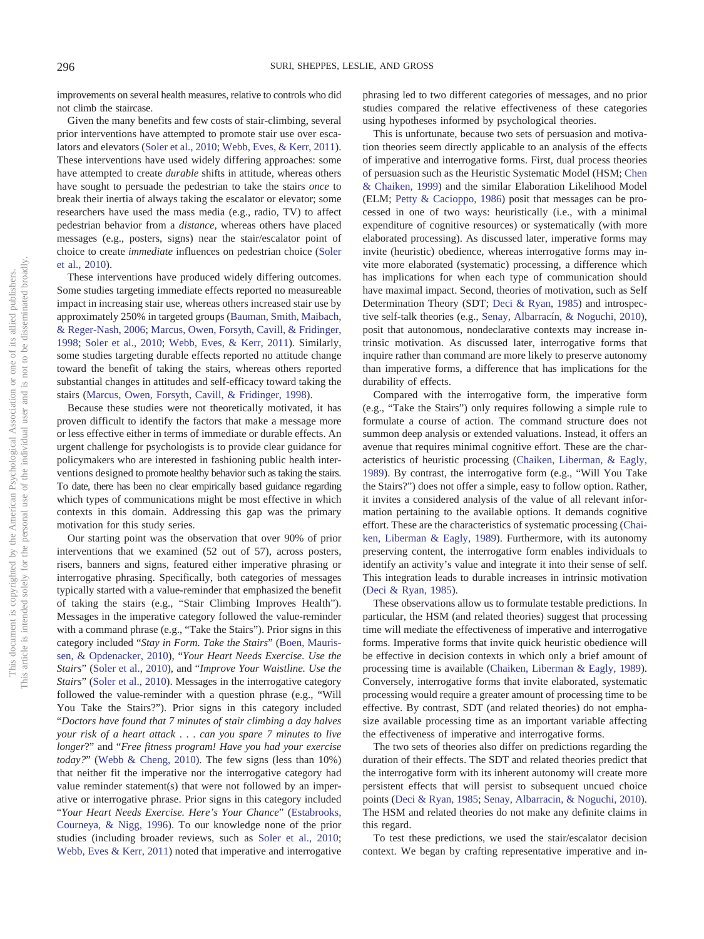improvements on several health measures, relative to controls who did not climb the staircase.

Given the many benefits and few costs of stair-climbing, several prior interventions have attempted to promote stair use over escalators and elevators [\(Soler et al., 2010;](#page-7-5) [Webb, Eves, & Kerr, 2011\)](#page-7-6). These interventions have used widely differing approaches: some have attempted to create *durable* shifts in attitude, whereas others have sought to persuade the pedestrian to take the stairs *once* to break their inertia of always taking the escalator or elevator; some researchers have used the mass media (e.g., radio, TV) to affect pedestrian behavior from a *distance*, whereas others have placed messages (e.g., posters, signs) near the stair/escalator point of choice to create *immediate* influences on pedestrian choice [\(Soler](#page-7-5) [et al., 2010\)](#page-7-5).

These interventions have produced widely differing outcomes. Some studies targeting immediate effects reported no measureable impact in increasing stair use, whereas others increased stair use by approximately 250% in targeted groups [\(Bauman, Smith, Maibach,](#page-6-9) [& Reger-Nash, 2006;](#page-6-9) [Marcus, Owen, Forsyth, Cavill, & Fridinger,](#page-6-10) [1998;](#page-6-10) [Soler et al., 2010;](#page-7-5) [Webb, Eves, & Kerr, 2011\)](#page-7-6). Similarly, some studies targeting durable effects reported no attitude change toward the benefit of taking the stairs, whereas others reported substantial changes in attitudes and self-efficacy toward taking the stairs [\(Marcus, Owen, Forsyth, Cavill, & Fridinger, 1998\)](#page-6-10).

Because these studies were not theoretically motivated, it has proven difficult to identify the factors that make a message more or less effective either in terms of immediate or durable effects. An urgent challenge for psychologists is to provide clear guidance for policymakers who are interested in fashioning public health interventions designed to promote healthy behavior such as taking the stairs. To date, there has been no clear empirically based guidance regarding which types of communications might be most effective in which contexts in this domain. Addressing this gap was the primary motivation for this study series.

Our starting point was the observation that over 90% of prior interventions that we examined (52 out of 57), across posters, risers, banners and signs, featured either imperative phrasing or interrogative phrasing. Specifically, both categories of messages typically started with a value-reminder that emphasized the benefit of taking the stairs (e.g., "Stair Climbing Improves Health"). Messages in the imperative category followed the value-reminder with a command phrase (e.g., "Take the Stairs"). Prior signs in this category included "*Stay in Form. Take the Stairs*" [\(Boen, Mauris](#page-6-11)[sen, & Opdenacker, 2010\)](#page-6-11), "*Your Heart Needs Exercise. Use the Stairs*" [\(Soler et al., 2010\)](#page-7-5), and "*Improve Your Waistline. Use the Stairs*" [\(Soler et al., 2010\)](#page-7-5). Messages in the interrogative category followed the value-reminder with a question phrase (e.g., "Will You Take the Stairs?"). Prior signs in this category included "*Doctors have found that 7 minutes of stair climbing a day halves your risk of a heart attack* ... *can you spare 7 minutes to live longer*?" and "*Free fitness program! Have you had your exercise today?*" [\(Webb & Cheng, 2010\)](#page-7-7). The few signs (less than 10%) that neither fit the imperative nor the interrogative category had value reminder statement(s) that were not followed by an imperative or interrogative phrase. Prior signs in this category included "*Your Heart Needs Exercise. Here's Your Chance*" [\(Estabrooks,](#page-6-12) [Courneya, & Nigg, 1996\)](#page-6-12). To our knowledge none of the prior studies (including broader reviews, such as [Soler et al., 2010;](#page-7-5) [Webb, Eves & Kerr, 2011\)](#page-7-6) noted that imperative and interrogative

phrasing led to two different categories of messages, and no prior studies compared the relative effectiveness of these categories using hypotheses informed by psychological theories.

This is unfortunate, because two sets of persuasion and motivation theories seem directly applicable to an analysis of the effects of imperative and interrogative forms. First, dual process theories of persuasion such as the Heuristic Systematic Model (HSM; [Chen](#page-6-13) [& Chaiken, 1999\)](#page-6-13) and the similar Elaboration Likelihood Model (ELM; [Petty & Cacioppo, 1986\)](#page-6-14) posit that messages can be processed in one of two ways: heuristically (i.e., with a minimal expenditure of cognitive resources) or systematically (with more elaborated processing). As discussed later, imperative forms may invite (heuristic) obedience, whereas interrogative forms may invite more elaborated (systematic) processing, a difference which has implications for when each type of communication should have maximal impact. Second, theories of motivation, such as Self Determination Theory (SDT; [Deci & Ryan, 1985\)](#page-6-15) and introspective self-talk theories (e.g., [Senay, Albarracín, & Noguchi, 2010\)](#page-7-8), posit that autonomous, nondeclarative contexts may increase intrinsic motivation. As discussed later, interrogative forms that inquire rather than command are more likely to preserve autonomy than imperative forms, a difference that has implications for the durability of effects.

Compared with the interrogative form, the imperative form (e.g., "Take the Stairs") only requires following a simple rule to formulate a course of action. The command structure does not summon deep analysis or extended valuations. Instead, it offers an avenue that requires minimal cognitive effort. These are the characteristics of heuristic processing [\(Chaiken, Liberman, & Eagly,](#page-6-16) [1989\)](#page-6-16). By contrast, the interrogative form (e.g., "Will You Take the Stairs?") does not offer a simple, easy to follow option. Rather, it invites a considered analysis of the value of all relevant information pertaining to the available options. It demands cognitive effort. These are the characteristics of systematic processing [\(Chai](#page-6-16)[ken, Liberman & Eagly, 1989\)](#page-6-16). Furthermore, with its autonomy preserving content, the interrogative form enables individuals to identify an activity's value and integrate it into their sense of self. This integration leads to durable increases in intrinsic motivation [\(Deci & Ryan, 1985\)](#page-6-15).

These observations allow us to formulate testable predictions. In particular, the HSM (and related theories) suggest that processing time will mediate the effectiveness of imperative and interrogative forms. Imperative forms that invite quick heuristic obedience will be effective in decision contexts in which only a brief amount of processing time is available [\(Chaiken, Liberman & Eagly, 1989\)](#page-6-16). Conversely, interrogative forms that invite elaborated, systematic processing would require a greater amount of processing time to be effective. By contrast, SDT (and related theories) do not emphasize available processing time as an important variable affecting the effectiveness of imperative and interrogative forms.

The two sets of theories also differ on predictions regarding the duration of their effects. The SDT and related theories predict that the interrogative form with its inherent autonomy will create more persistent effects that will persist to subsequent uncued choice points [\(Deci & Ryan, 1985;](#page-6-15) [Senay, Albarracin, & Noguchi, 2010\)](#page-7-8). The HSM and related theories do not make any definite claims in this regard.

To test these predictions, we used the stair/escalator decision context. We began by crafting representative imperative and in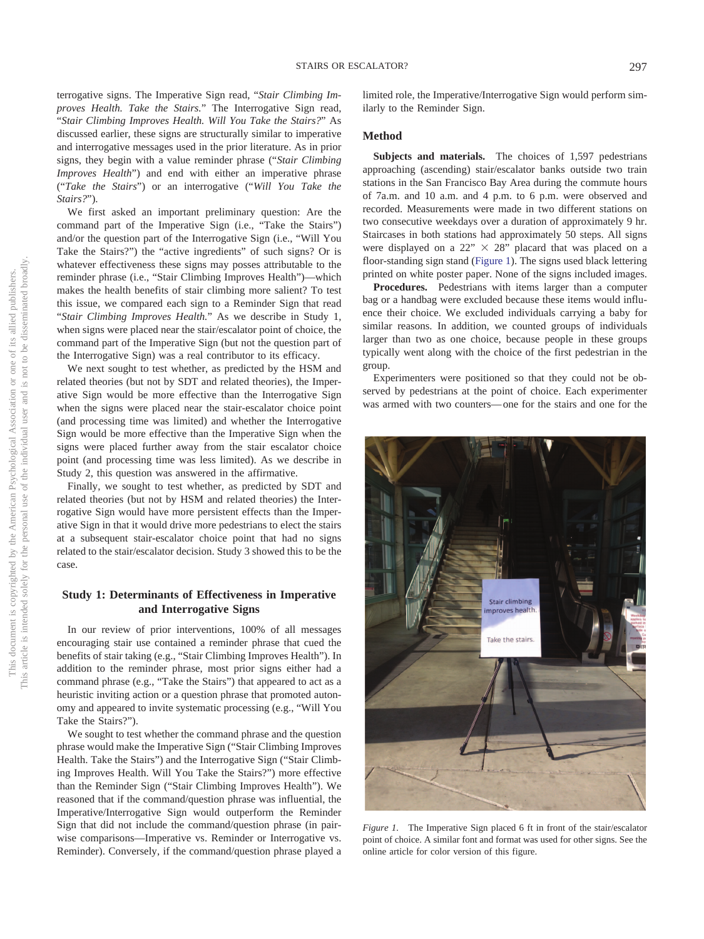terrogative signs. The Imperative Sign read, "*Stair Climbing Improves Health. Take the Stairs.*" The Interrogative Sign read, "*Stair Climbing Improves Health. Will You Take the Stairs?*" As discussed earlier, these signs are structurally similar to imperative and interrogative messages used in the prior literature. As in prior signs, they begin with a value reminder phrase ("*Stair Climbing Improves Health*") and end with either an imperative phrase ("*Take the Stairs*") or an interrogative ("*Will You Take the Stairs?*").

We first asked an important preliminary question: Are the command part of the Imperative Sign (i.e., "Take the Stairs") and/or the question part of the Interrogative Sign (i.e., "Will You Take the Stairs?") the "active ingredients" of such signs? Or is whatever effectiveness these signs may posses attributable to the reminder phrase (i.e., "Stair Climbing Improves Health")—which makes the health benefits of stair climbing more salient? To test this issue, we compared each sign to a Reminder Sign that read "*Stair Climbing Improves Health.*" As we describe in Study 1, when signs were placed near the stair/escalator point of choice, the command part of the Imperative Sign (but not the question part of the Interrogative Sign) was a real contributor to its efficacy.

We next sought to test whether, as predicted by the HSM and related theories (but not by SDT and related theories), the Imperative Sign would be more effective than the Interrogative Sign when the signs were placed near the stair-escalator choice point (and processing time was limited) and whether the Interrogative Sign would be more effective than the Imperative Sign when the signs were placed further away from the stair escalator choice point (and processing time was less limited). As we describe in Study 2, this question was answered in the affirmative.

Finally, we sought to test whether, as predicted by SDT and related theories (but not by HSM and related theories) the Interrogative Sign would have more persistent effects than the Imperative Sign in that it would drive more pedestrians to elect the stairs at a subsequent stair-escalator choice point that had no signs related to the stair/escalator decision. Study 3 showed this to be the case.

# **Study 1: Determinants of Effectiveness in Imperative and Interrogative Signs**

In our review of prior interventions, 100% of all messages encouraging stair use contained a reminder phrase that cued the benefits of stair taking (e.g., "Stair Climbing Improves Health"). In addition to the reminder phrase, most prior signs either had a command phrase (e.g., "Take the Stairs") that appeared to act as a heuristic inviting action or a question phrase that promoted autonomy and appeared to invite systematic processing (e.g., "Will You Take the Stairs?").

<span id="page-2-0"></span>We sought to test whether the command phrase and the question phrase would make the Imperative Sign ("Stair Climbing Improves Health. Take the Stairs") and the Interrogative Sign ("Stair Climbing Improves Health. Will You Take the Stairs?") more effective than the Reminder Sign ("Stair Climbing Improves Health"). We reasoned that if the command/question phrase was influential, the Imperative/Interrogative Sign would outperform the Reminder Sign that did not include the command/question phrase (in pairwise comparisons—Imperative vs. Reminder or Interrogative vs. Reminder). Conversely, if the command/question phrase played a limited role, the Imperative/Interrogative Sign would perform similarly to the Reminder Sign.

# **Method**

**Subjects and materials.** The choices of 1,597 pedestrians approaching (ascending) stair/escalator banks outside two train stations in the San Francisco Bay Area during the commute hours of 7a.m. and 10 a.m. and 4 p.m. to 6 p.m. were observed and recorded. Measurements were made in two different stations on two consecutive weekdays over a duration of approximately 9 hr. Staircases in both stations had approximately 50 steps. All signs were displayed on a  $22" \times 28"$  placard that was placed on a floor-standing sign stand [\(Figure 1\)](#page-2-0). The signs used black lettering printed on white poster paper. None of the signs included images.

**Procedures.** Pedestrians with items larger than a computer bag or a handbag were excluded because these items would influence their choice. We excluded individuals carrying a baby for similar reasons. In addition, we counted groups of individuals larger than two as one choice, because people in these groups typically went along with the choice of the first pedestrian in the group.

Experimenters were positioned so that they could not be observed by pedestrians at the point of choice. Each experimenter was armed with two counters— one for the stairs and one for the



*Figure 1.* The Imperative Sign placed 6 ft in front of the stair/escalator point of choice. A similar font and format was used for other signs. See the online article for color version of this figure.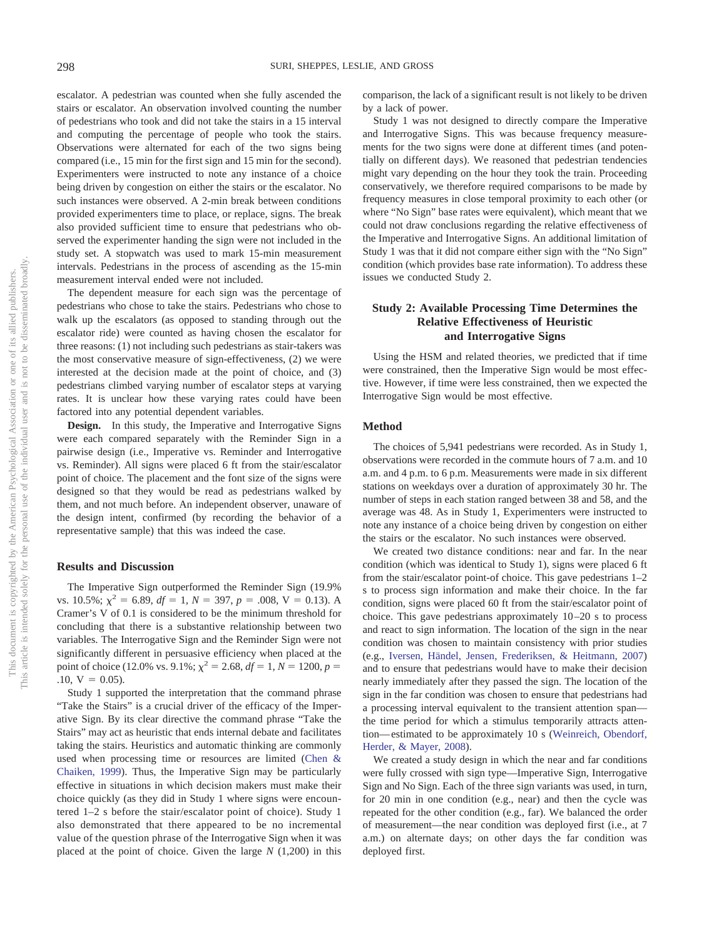escalator. A pedestrian was counted when she fully ascended the stairs or escalator. An observation involved counting the number of pedestrians who took and did not take the stairs in a 15 interval and computing the percentage of people who took the stairs. Observations were alternated for each of the two signs being compared (i.e., 15 min for the first sign and 15 min for the second). Experimenters were instructed to note any instance of a choice being driven by congestion on either the stairs or the escalator. No such instances were observed. A 2-min break between conditions provided experimenters time to place, or replace, signs. The break also provided sufficient time to ensure that pedestrians who observed the experimenter handing the sign were not included in the study set. A stopwatch was used to mark 15-min measurement intervals. Pedestrians in the process of ascending as the 15-min measurement interval ended were not included.

The dependent measure for each sign was the percentage of pedestrians who chose to take the stairs. Pedestrians who chose to walk up the escalators (as opposed to standing through out the escalator ride) were counted as having chosen the escalator for three reasons: (1) not including such pedestrians as stair-takers was the most conservative measure of sign-effectiveness, (2) we were interested at the decision made at the point of choice, and (3) pedestrians climbed varying number of escalator steps at varying rates. It is unclear how these varying rates could have been factored into any potential dependent variables.

**Design.** In this study, the Imperative and Interrogative Signs were each compared separately with the Reminder Sign in a pairwise design (i.e., Imperative vs. Reminder and Interrogative vs. Reminder). All signs were placed 6 ft from the stair/escalator point of choice. The placement and the font size of the signs were designed so that they would be read as pedestrians walked by them, and not much before. An independent observer, unaware of the design intent, confirmed (by recording the behavior of a representative sample) that this was indeed the case.

#### **Results and Discussion**

The Imperative Sign outperformed the Reminder Sign (19.9% vs. 10.5%;  $\chi^2 = 6.89$ ,  $df = 1$ ,  $N = 397$ ,  $p = .008$ ,  $V = 0.13$ ). A Cramer's V of 0.1 is considered to be the minimum threshold for concluding that there is a substantive relationship between two variables. The Interrogative Sign and the Reminder Sign were not significantly different in persuasive efficiency when placed at the point of choice (12.0% vs. 9.1%;  $\chi^2 = 2.68$ ,  $df = 1$ ,  $N = 1200$ ,  $p =$  $.10, V = 0.05$ .

Study 1 supported the interpretation that the command phrase "Take the Stairs" is a crucial driver of the efficacy of the Imperative Sign. By its clear directive the command phrase "Take the Stairs" may act as heuristic that ends internal debate and facilitates taking the stairs. Heuristics and automatic thinking are commonly used when processing time or resources are limited [\(Chen &](#page-6-13) [Chaiken, 1999\)](#page-6-13). Thus, the Imperative Sign may be particularly effective in situations in which decision makers must make their choice quickly (as they did in Study 1 where signs were encountered 1–2 s before the stair/escalator point of choice). Study 1 also demonstrated that there appeared to be no incremental value of the question phrase of the Interrogative Sign when it was placed at the point of choice. Given the large *N* (1,200) in this comparison, the lack of a significant result is not likely to be driven by a lack of power.

Study 1 was not designed to directly compare the Imperative and Interrogative Signs. This was because frequency measurements for the two signs were done at different times (and potentially on different days). We reasoned that pedestrian tendencies might vary depending on the hour they took the train. Proceeding conservatively, we therefore required comparisons to be made by frequency measures in close temporal proximity to each other (or where "No Sign" base rates were equivalent), which meant that we could not draw conclusions regarding the relative effectiveness of the Imperative and Interrogative Signs. An additional limitation of Study 1 was that it did not compare either sign with the "No Sign" condition (which provides base rate information). To address these issues we conducted Study 2.

# **Study 2: Available Processing Time Determines the Relative Effectiveness of Heuristic and Interrogative Signs**

Using the HSM and related theories, we predicted that if time were constrained, then the Imperative Sign would be most effective. However, if time were less constrained, then we expected the Interrogative Sign would be most effective.

## **Method**

The choices of 5,941 pedestrians were recorded. As in Study 1, observations were recorded in the commute hours of 7 a.m. and 10 a.m. and 4 p.m. to 6 p.m. Measurements were made in six different stations on weekdays over a duration of approximately 30 hr. The number of steps in each station ranged between 38 and 58, and the average was 48. As in Study 1, Experimenters were instructed to note any instance of a choice being driven by congestion on either the stairs or the escalator. No such instances were observed.

We created two distance conditions: near and far. In the near condition (which was identical to Study 1), signs were placed 6 ft from the stair/escalator point-of choice. This gave pedestrians 1–2 s to process sign information and make their choice. In the far condition, signs were placed 60 ft from the stair/escalator point of choice. This gave pedestrians approximately 10 –20 s to process and react to sign information. The location of the sign in the near condition was chosen to maintain consistency with prior studies (e.g., [Iversen, Händel, Jensen, Frederiksen, & Heitmann, 2007\)](#page-6-17) and to ensure that pedestrians would have to make their decision nearly immediately after they passed the sign. The location of the sign in the far condition was chosen to ensure that pedestrians had a processing interval equivalent to the transient attention span the time period for which a stimulus temporarily attracts attention— estimated to be approximately 10 s [\(Weinreich, Obendorf,](#page-7-9) [Herder, & Mayer, 2008\)](#page-7-9).

We created a study design in which the near and far conditions were fully crossed with sign type—Imperative Sign, Interrogative Sign and No Sign. Each of the three sign variants was used, in turn, for 20 min in one condition (e.g., near) and then the cycle was repeated for the other condition (e.g., far). We balanced the order of measurement—the near condition was deployed first (i.e., at 7 a.m.) on alternate days; on other days the far condition was deployed first.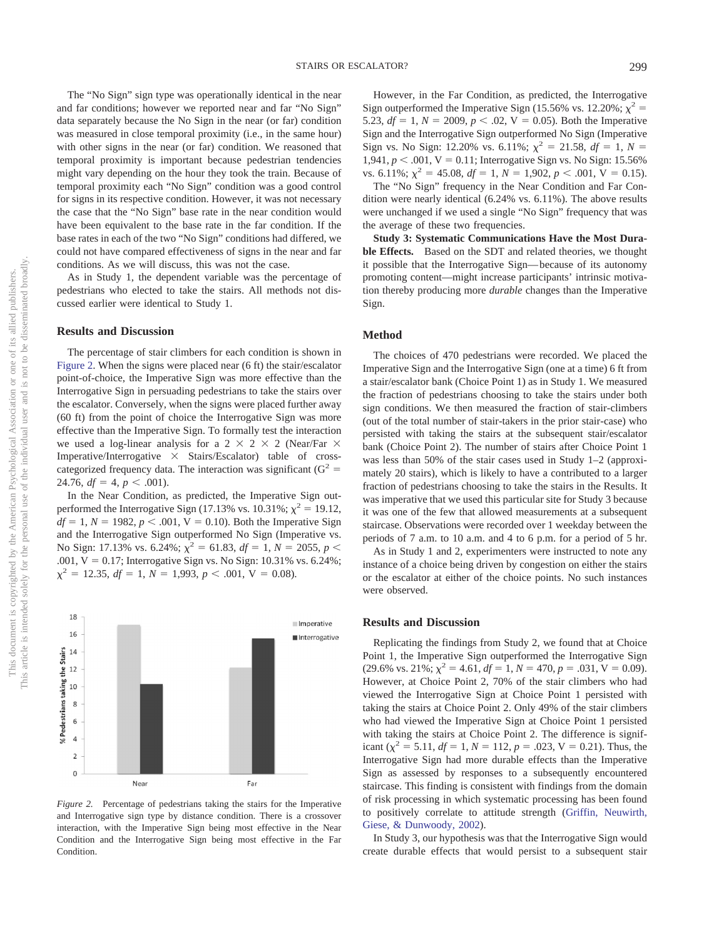The "No Sign" sign type was operationally identical in the near and far conditions; however we reported near and far "No Sign" data separately because the No Sign in the near (or far) condition was measured in close temporal proximity (i.e., in the same hour) with other signs in the near (or far) condition. We reasoned that temporal proximity is important because pedestrian tendencies might vary depending on the hour they took the train. Because of temporal proximity each "No Sign" condition was a good control for signs in its respective condition. However, it was not necessary the case that the "No Sign" base rate in the near condition would have been equivalent to the base rate in the far condition. If the base rates in each of the two "No Sign" conditions had differed, we could not have compared effectiveness of signs in the near and far conditions. As we will discuss, this was not the case.

As in Study 1, the dependent variable was the percentage of pedestrians who elected to take the stairs. All methods not discussed earlier were identical to Study 1.

#### **Results and Discussion**

The percentage of stair climbers for each condition is shown in [Figure 2.](#page-4-0) When the signs were placed near (6 ft) the stair/escalator point-of-choice, the Imperative Sign was more effective than the Interrogative Sign in persuading pedestrians to take the stairs over the escalator. Conversely, when the signs were placed further away (60 ft) from the point of choice the Interrogative Sign was more effective than the Imperative Sign. To formally test the interaction we used a log-linear analysis for a  $2 \times 2 \times 2$  (Near/Far  $\times$ Imperative/Interrogative  $\times$  Stairs/Escalator) table of crosscategorized frequency data. The interaction was significant ( $G^2 =$ 24.76,  $df = 4$ ,  $p < .001$ ).

In the Near Condition, as predicted, the Imperative Sign outperformed the Interrogative Sign (17.13% vs. 10.31%;  $\chi^2 = 19.12$ ,  $df = 1, N = 1982, p < .001, V = 0.10$ . Both the Imperative Sign and the Interrogative Sign outperformed No Sign (Imperative vs. No Sign: 17.13% vs. 6.24%;  $\chi^2 = 61.83$ ,  $df = 1$ ,  $N = 2055$ ,  $p <$ .001,  $V = 0.17$ ; Interrogative Sign vs. No Sign: 10.31% vs. 6.24%;  $\chi^2 = 12.35$ ,  $df = 1$ ,  $N = 1,993$ ,  $p < .001$ ,  $V = 0.08$ ).



<span id="page-4-0"></span>*Figure 2.* Percentage of pedestrians taking the stairs for the Imperative and Interrogative sign type by distance condition. There is a crossover interaction, with the Imperative Sign being most effective in the Near Condition and the Interrogative Sign being most effective in the Far **Condition** 

However, in the Far Condition, as predicted, the Interrogative Sign outperformed the Imperative Sign (15.56% vs. 12.20%;  $\chi^2$  = 5.23,  $df = 1$ ,  $N = 2009$ ,  $p < 0.02$ ,  $V = 0.05$ ). Both the Imperative Sign and the Interrogative Sign outperformed No Sign (Imperative Sign vs. No Sign: 12.20% vs. 6.11%;  $\chi^2 = 21.58$ ,  $df = 1$ ,  $N =$ 1,941,  $p < .001$ , V = 0.11; Interrogative Sign vs. No Sign: 15.56% vs. 6.11%;  $\chi^2 = 45.08$ ,  $df = 1$ ,  $N = 1,902$ ,  $p < .001$ ,  $V = 0.15$ ).

The "No Sign" frequency in the Near Condition and Far Condition were nearly identical (6.24% vs. 6.11%). The above results were unchanged if we used a single "No Sign" frequency that was the average of these two frequencies.

**Study 3: Systematic Communications Have the Most Durable Effects.** Based on the SDT and related theories, we thought it possible that the Interrogative Sign— because of its autonomy promoting content—might increase participants' intrinsic motivation thereby producing more *durable* changes than the Imperative Sign.

## **Method**

The choices of 470 pedestrians were recorded. We placed the Imperative Sign and the Interrogative Sign (one at a time) 6 ft from a stair/escalator bank (Choice Point 1) as in Study 1. We measured the fraction of pedestrians choosing to take the stairs under both sign conditions. We then measured the fraction of stair-climbers (out of the total number of stair-takers in the prior stair-case) who persisted with taking the stairs at the subsequent stair/escalator bank (Choice Point 2). The number of stairs after Choice Point 1 was less than 50% of the stair cases used in Study 1–2 (approximately 20 stairs), which is likely to have a contributed to a larger fraction of pedestrians choosing to take the stairs in the Results. It was imperative that we used this particular site for Study 3 because it was one of the few that allowed measurements at a subsequent staircase. Observations were recorded over 1 weekday between the periods of 7 a.m. to 10 a.m. and 4 to 6 p.m. for a period of 5 hr.

As in Study 1 and 2, experimenters were instructed to note any instance of a choice being driven by congestion on either the stairs or the escalator at either of the choice points. No such instances were observed.

#### **Results and Discussion**

Replicating the findings from Study 2, we found that at Choice Point 1, the Imperative Sign outperformed the Interrogative Sign  $(29.6\% \text{ vs. } 21\%; \chi^2 = 4.61, df = 1, N = 470, p = .031, V = 0.09).$ However, at Choice Point 2, 70% of the stair climbers who had viewed the Interrogative Sign at Choice Point 1 persisted with taking the stairs at Choice Point 2. Only 49% of the stair climbers who had viewed the Imperative Sign at Choice Point 1 persisted with taking the stairs at Choice Point 2. The difference is significant ( $\chi^2$  = 5.11, *df* = 1, *N* = 112, *p* = .023, V = 0.21). Thus, the Interrogative Sign had more durable effects than the Imperative Sign as assessed by responses to a subsequently encountered staircase. This finding is consistent with findings from the domain of risk processing in which systematic processing has been found to positively correlate to attitude strength [\(Griffin, Neuwirth,](#page-6-18) [Giese, & Dunwoody, 2002\)](#page-6-18).

In Study 3, our hypothesis was that the Interrogative Sign would create durable effects that would persist to a subsequent stair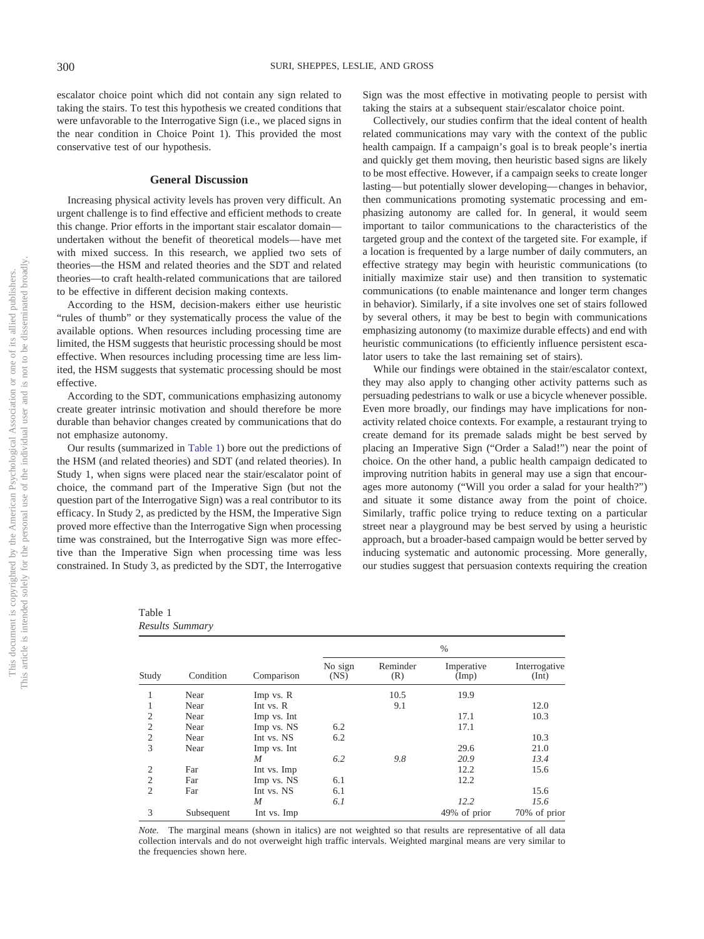escalator choice point which did not contain any sign related to taking the stairs. To test this hypothesis we created conditions that were unfavorable to the Interrogative Sign (i.e., we placed signs in the near condition in Choice Point 1). This provided the most conservative test of our hypothesis.

#### **General Discussion**

Increasing physical activity levels has proven very difficult. An urgent challenge is to find effective and efficient methods to create this change. Prior efforts in the important stair escalator domain undertaken without the benefit of theoretical models— have met with mixed success. In this research, we applied two sets of theories—the HSM and related theories and the SDT and related theories—to craft health-related communications that are tailored to be effective in different decision making contexts.

According to the HSM, decision-makers either use heuristic "rules of thumb" or they systematically process the value of the available options. When resources including processing time are limited, the HSM suggests that heuristic processing should be most effective. When resources including processing time are less limited, the HSM suggests that systematic processing should be most effective.

According to the SDT, communications emphasizing autonomy create greater intrinsic motivation and should therefore be more durable than behavior changes created by communications that do not emphasize autonomy.

Our results (summarized in [Table 1\)](#page-5-0) bore out the predictions of the HSM (and related theories) and SDT (and related theories). In Study 1, when signs were placed near the stair/escalator point of choice, the command part of the Imperative Sign (but not the question part of the Interrogative Sign) was a real contributor to its efficacy. In Study 2, as predicted by the HSM, the Imperative Sign proved more effective than the Interrogative Sign when processing time was constrained, but the Interrogative Sign was more effective than the Imperative Sign when processing time was less constrained. In Study 3, as predicted by the SDT, the Interrogative Sign was the most effective in motivating people to persist with taking the stairs at a subsequent stair/escalator choice point.

Collectively, our studies confirm that the ideal content of health related communications may vary with the context of the public health campaign. If a campaign's goal is to break people's inertia and quickly get them moving, then heuristic based signs are likely to be most effective. However, if a campaign seeks to create longer lasting— but potentially slower developing— changes in behavior, then communications promoting systematic processing and emphasizing autonomy are called for. In general, it would seem important to tailor communications to the characteristics of the targeted group and the context of the targeted site. For example, if a location is frequented by a large number of daily commuters, an effective strategy may begin with heuristic communications (to initially maximize stair use) and then transition to systematic communications (to enable maintenance and longer term changes in behavior). Similarly, if a site involves one set of stairs followed by several others, it may be best to begin with communications emphasizing autonomy (to maximize durable effects) and end with heuristic communications (to efficiently influence persistent escalator users to take the last remaining set of stairs).

While our findings were obtained in the stair/escalator context, they may also apply to changing other activity patterns such as persuading pedestrians to walk or use a bicycle whenever possible. Even more broadly, our findings may have implications for nonactivity related choice contexts. For example, a restaurant trying to create demand for its premade salads might be best served by placing an Imperative Sign ("Order a Salad!") near the point of choice. On the other hand, a public health campaign dedicated to improving nutrition habits in general may use a sign that encourages more autonomy ("Will you order a salad for your health?") and situate it some distance away from the point of choice. Similarly, traffic police trying to reduce texting on a particular street near a playground may be best served by using a heuristic approach, but a broader-based campaign would be better served by inducing systematic and autonomic processing. More generally, our studies suggest that persuasion contexts requiring the creation

<span id="page-5-0"></span>

| Table 1 |                 |
|---------|-----------------|
|         | Results Summary |

| Study          |            | Comparison  | $\%$            |                 |                     |                        |
|----------------|------------|-------------|-----------------|-----------------|---------------------|------------------------|
|                | Condition  |             | No sign<br>(NS) | Reminder<br>(R) | Imperative<br>(Imp) | Interrogative<br>(Int) |
| 1              | Near       | Imp vs. R   |                 | 10.5            | 19.9                |                        |
|                | Near       | Int $vs. R$ |                 | 9.1             |                     | 12.0                   |
| $\overline{2}$ | Near       | Imp vs. Int |                 |                 | 17.1                | 10.3                   |
| $\overline{2}$ | Near       | Imp vs. NS  | 6.2             |                 | 17.1                |                        |
| $\overline{2}$ | Near       | Int vs. NS  | 6.2             |                 |                     | 10.3                   |
| 3              | Near       | Imp vs. Int |                 |                 | 29.6                | 21.0                   |
|                |            | M           | 6.2             | 9.8             | 20.9                | 13.4                   |
| $\overline{2}$ | Far        | Int vs. Imp |                 |                 | 12.2                | 15.6                   |
| $\overline{c}$ | Far        | Imp vs. NS  | 6.1             |                 | 12.2                |                        |
| $\overline{c}$ | Far        | Int vs. NS  | 6.1             |                 |                     | 15.6                   |
|                |            | M           | 6.1             |                 | 12.2                | 15.6                   |
| 3              | Subsequent | Int vs. Imp |                 |                 | 49% of prior        | 70% of prior           |

*Note.* The marginal means (shown in italics) are not weighted so that results are representative of all data collection intervals and do not overweight high traffic intervals. Weighted marginal means are very similar to the frequencies shown here.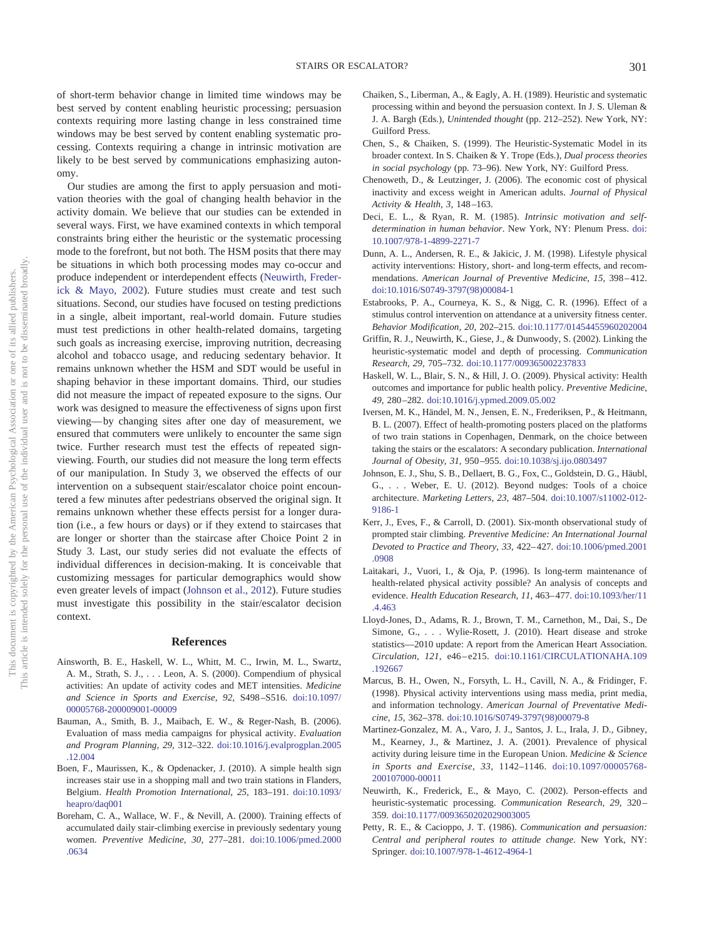of short-term behavior change in limited time windows may be best served by content enabling heuristic processing; persuasion contexts requiring more lasting change in less constrained time windows may be best served by content enabling systematic processing. Contexts requiring a change in intrinsic motivation are likely to be best served by communications emphasizing autonomy.

Our studies are among the first to apply persuasion and motivation theories with the goal of changing health behavior in the activity domain. We believe that our studies can be extended in several ways. First, we have examined contexts in which temporal constraints bring either the heuristic or the systematic processing mode to the forefront, but not both. The HSM posits that there may be situations in which both processing modes may co-occur and produce independent or interdependent effects [\(Neuwirth, Freder](#page-6-19)[ick & Mayo, 2002\)](#page-6-19). Future studies must create and test such situations. Second, our studies have focused on testing predictions in a single, albeit important, real-world domain. Future studies must test predictions in other health-related domains, targeting such goals as increasing exercise, improving nutrition, decreasing alcohol and tobacco usage, and reducing sedentary behavior. It remains unknown whether the HSM and SDT would be useful in shaping behavior in these important domains. Third, our studies did not measure the impact of repeated exposure to the signs. Our work was designed to measure the effectiveness of signs upon first viewing— by changing sites after one day of measurement, we ensured that commuters were unlikely to encounter the same sign twice. Further research must test the effects of repeated signviewing. Fourth, our studies did not measure the long term effects of our manipulation. In Study 3, we observed the effects of our intervention on a subsequent stair/escalator choice point encountered a few minutes after pedestrians observed the original sign. It remains unknown whether these effects persist for a longer duration (i.e., a few hours or days) or if they extend to staircases that are longer or shorter than the staircase after Choice Point 2 in Study 3. Last, our study series did not evaluate the effects of individual differences in decision-making. It is conceivable that customizing messages for particular demographics would show even greater levels of impact [\(Johnson et al., 2012\)](#page-6-20). Future studies must investigate this possibility in the stair/escalator decision context.

#### **References**

- <span id="page-6-7"></span>Ainsworth, B. E., Haskell, W. L., Whitt, M. C., Irwin, M. L., Swartz, A. M., Strath, S. J.,... Leon, A. S. (2000). Compendium of physical activities: An update of activity codes and MET intensities. *Medicine and Science in Sports and Exercise, 92,* S498 –S516. [doi:10.1097/](http://dx.doi.org/10.1097/00005768-200009001-00009) [00005768-200009001-00009](http://dx.doi.org/10.1097/00005768-200009001-00009)
- <span id="page-6-9"></span>Bauman, A., Smith, B. J., Maibach, E. W., & Reger-Nash, B. (2006). Evaluation of mass media campaigns for physical activity. *Evaluation and Program Planning, 29,* 312–322. [doi:10.1016/j.evalprogplan.2005](http://dx.doi.org/10.1016/j.evalprogplan.2005.12.004) [.12.004](http://dx.doi.org/10.1016/j.evalprogplan.2005.12.004)
- <span id="page-6-11"></span>Boen, F., Maurissen, K., & Opdenacker, J. (2010). A simple health sign increases stair use in a shopping mall and two train stations in Flanders, Belgium. *Health Promotion International, 25,* 183–191. [doi:10.1093/](http://dx.doi.org/10.1093/heapro/daq001) [heapro/daq001](http://dx.doi.org/10.1093/heapro/daq001)
- <span id="page-6-8"></span>Boreham, C. A., Wallace, W. F., & Nevill, A. (2000). Training effects of accumulated daily stair-climbing exercise in previously sedentary young women. *Preventive Medicine, 30,* 277–281. [doi:10.1006/pmed.2000](http://dx.doi.org/10.1006/pmed.2000.0634) [.0634](http://dx.doi.org/10.1006/pmed.2000.0634)
- <span id="page-6-16"></span>Chaiken, S., Liberman, A., & Eagly, A. H. (1989). Heuristic and systematic processing within and beyond the persuasion context. In J. S. Uleman & J. A. Bargh (Eds.), *Unintended thought* (pp. 212–252). New York, NY: Guilford Press.
- <span id="page-6-13"></span>Chen, S., & Chaiken, S. (1999). The Heuristic-Systematic Model in its broader context. In S. Chaiken & Y. Trope (Eds.), *Dual process theories in social psychology* (pp. 73–96). New York, NY: Guilford Press.
- <span id="page-6-3"></span>Chenoweth, D., & Leutzinger, J. (2006). The economic cost of physical inactivity and excess weight in American adults. *Journal of Physical Activity & Health, 3,* 148 –163.
- <span id="page-6-15"></span>Deci, E. L., & Ryan, R. M. (1985). *Intrinsic motivation and selfdetermination in human behavior*. New York, NY: Plenum Press. [doi:](http://dx.doi.org/10.1007/978-1-4899-2271-7) [10.1007/978-1-4899-2271-7](http://dx.doi.org/10.1007/978-1-4899-2271-7)
- <span id="page-6-4"></span>Dunn, A. L., Andersen, R. E., & Jakicic, J. M. (1998). Lifestyle physical activity interventions: History, short- and long-term effects, and recommendations. *American Journal of Preventive Medicine*, 15, 398-412. [doi:10.1016/S0749-3797\(98\)00084-1](http://dx.doi.org/10.1016/S0749-3797%2898%2900084-1)
- <span id="page-6-12"></span>Estabrooks, P. A., Courneya, K. S., & Nigg, C. R. (1996). Effect of a stimulus control intervention on attendance at a university fitness center. *Behavior Modification, 20,* 202–215. [doi:10.1177/01454455960202004](http://dx.doi.org/10.1177/01454455960202004)
- <span id="page-6-18"></span>Griffin, R. J., Neuwirth, K., Giese, J., & Dunwoody, S. (2002). Linking the heuristic-systematic model and depth of processing. *Communication Research, 29,* 705–732. [doi:10.1177/009365002237833](http://dx.doi.org/10.1177/009365002237833)
- <span id="page-6-5"></span>Haskell, W. L., Blair, S. N., & Hill, J. O. (2009). Physical activity: Health outcomes and importance for public health policy. *Preventive Medicine, 49,* 280 –282. [doi:10.1016/j.ypmed.2009.05.002](http://dx.doi.org/10.1016/j.ypmed.2009.05.002)
- <span id="page-6-17"></span>Iversen, M. K., Händel, M. N., Jensen, E. N., Frederiksen, P., & Heitmann, B. L. (2007). Effect of health-promoting posters placed on the platforms of two train stations in Copenhagen, Denmark, on the choice between taking the stairs or the escalators: A secondary publication. *International Journal of Obesity, 31,* 950 –955. [doi:10.1038/sj.ijo.0803497](http://dx.doi.org/10.1038/sj.ijo.0803497)
- <span id="page-6-20"></span>Johnson, E. J., Shu, S. B., Dellaert, B. G., Fox, C., Goldstein, D. G., Häubl, G., . . . Weber, E. U. (2012). Beyond nudges: Tools of a choice architecture. *Marketing Letters, 23,* 487–504. [doi:10.1007/s11002-012-](http://dx.doi.org/10.1007/s11002-012-9186-1) [9186-1](http://dx.doi.org/10.1007/s11002-012-9186-1)
- <span id="page-6-2"></span>Kerr, J., Eves, F., & Carroll, D. (2001). Six-month observational study of prompted stair climbing. *Preventive Medicine: An International Journal Devoted to Practice and Theory, 33,* 422– 427. [doi:10.1006/pmed.2001](http://dx.doi.org/10.1006/pmed.2001.0908) [.0908](http://dx.doi.org/10.1006/pmed.2001.0908)
- <span id="page-6-6"></span>Laitakari, J., Vuori, I., & Oja, P. (1996). Is long-term maintenance of health-related physical activity possible? An analysis of concepts and evidence. *Health Education Research, 11*, 463-477. [doi:10.1093/her/11](http://dx.doi.org/10.1093/her/11.4.463) [.4.463](http://dx.doi.org/10.1093/her/11.4.463)
- <span id="page-6-0"></span>Lloyd-Jones, D., Adams, R. J., Brown, T. M., Carnethon, M., Dai, S., De Simone, G.,... Wylie-Rosett, J. (2010). Heart disease and stroke statistics—2010 update: A report from the American Heart Association. *Circulation, 121,* e46 – e215. [doi:10.1161/CIRCULATIONAHA.109](http://dx.doi.org/10.1161/CIRCULATIONAHA.109.192667) [.192667](http://dx.doi.org/10.1161/CIRCULATIONAHA.109.192667)
- <span id="page-6-10"></span>Marcus, B. H., Owen, N., Forsyth, L. H., Cavill, N. A., & Fridinger, F. (1998). Physical activity interventions using mass media, print media, and information technology. *American Journal of Preventative Medicine, 15,* 362–378. [doi:10.1016/S0749-3797\(98\)00079-8](http://dx.doi.org/10.1016/S0749-3797%2898%2900079-8)
- <span id="page-6-1"></span>Martinez-Gonzalez, M. A., Varo, J. J., Santos, J. L., Irala, J. D., Gibney, M., Kearney, J., & Martinez, J. A. (2001). Prevalence of physical activity during leisure time in the European Union. *Medicine & Science in Sports and Exercise, 33,* 1142–1146. [doi:10.1097/00005768-](http://dx.doi.org/10.1097/00005768-200107000-00011) [200107000-00011](http://dx.doi.org/10.1097/00005768-200107000-00011)
- <span id="page-6-19"></span>Neuwirth, K., Frederick, E., & Mayo, C. (2002). Person-effects and heuristic-systematic processing. *Communication Research, 29,* 320 – 359. [doi:10.1177/0093650202029003005](http://dx.doi.org/10.1177/0093650202029003005)
- <span id="page-6-14"></span>Petty, R. E., & Cacioppo, J. T. (1986). *Communication and persuasion: Central and peripheral routes to attitude change*. New York, NY: Springer. [doi:10.1007/978-1-4612-4964-1](http://dx.doi.org/10.1007/978-1-4612-4964-1)